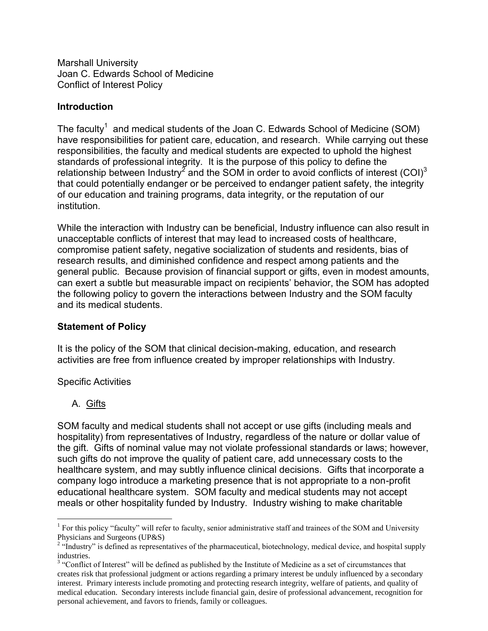Marshall University Joan C. Edwards School of Medicine Conflict of Interest Policy

#### **Introduction**

The faculty<sup>1</sup> and medical students of the Joan C. Edwards School of Medicine (SOM) have responsibilities for patient care, education, and research. While carrying out these responsibilities, the faculty and medical students are expected to uphold the highest standards of professional integrity. It is the purpose of this policy to define the relationship between Industry<sup>2</sup> and the SOM in order to avoid conflicts of interest (COI)<sup>3</sup> that could potentially endanger or be perceived to endanger patient safety, the integrity of our education and training programs, data integrity, or the reputation of our institution.

While the interaction with Industry can be beneficial, Industry influence can also result in unacceptable conflicts of interest that may lead to increased costs of healthcare, compromise patient safety, negative socialization of students and residents, bias of research results, and diminished confidence and respect among patients and the general public. Because provision of financial support or gifts, even in modest amounts, can exert a subtle but measurable impact on recipients' behavior, the SOM has adopted the following policy to govern the interactions between Industry and the SOM faculty and its medical students.

### **Statement of Policy**

It is the policy of the SOM that clinical decision-making, education, and research activities are free from influence created by improper relationships with Industry.

#### Specific Activities

### A. Gifts

SOM faculty and medical students shall not accept or use gifts (including meals and hospitality) from representatives of Industry, regardless of the nature or dollar value of the gift. Gifts of nominal value may not violate professional standards or laws; however, such gifts do not improve the quality of patient care, add unnecessary costs to the healthcare system, and may subtly influence clinical decisions. Gifts that incorporate a company logo introduce a marketing presence that is not appropriate to a non-profit educational healthcare system. SOM faculty and medical students may not accept meals or other hospitality funded by Industry. Industry wishing to make charitable

<sup>&</sup>lt;sup>1</sup> For this policy "faculty" will refer to faculty, senior administrative staff and trainees of the SOM and University Physicians and Surgeons (UP&S)

<sup>&</sup>lt;sup>2</sup> "Industry" is defined as representatives of the pharmaceutical, biotechnology, medical device, and hospital supply industries.

<sup>&</sup>lt;sup>3</sup> "Conflict of Interest" will be defined as published by the Institute of Medicine as a set of circumstances that creates risk that professional judgment or actions regarding a primary interest be unduly influenced by a secondary interest. Primary interests include promoting and protecting research integrity, welfare of patients, and quality of medical education. Secondary interests include financial gain, desire of professional advancement, recognition for personal achievement, and favors to friends, family or colleagues.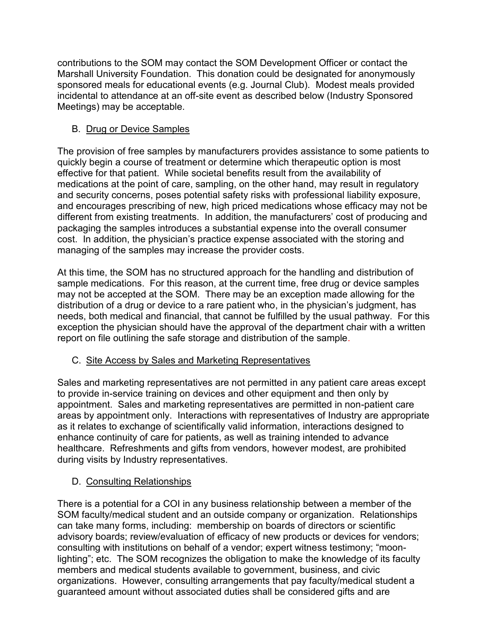contributions to the SOM may contact the SOM Development Officer or contact the Marshall University Foundation. This donation could be designated for anonymously sponsored meals for educational events (e.g. Journal Club). Modest meals provided incidental to attendance at an off-site event as described below (Industry Sponsored Meetings) may be acceptable.

## B. Drug or Device Samples

The provision of free samples by manufacturers provides assistance to some patients to quickly begin a course of treatment or determine which therapeutic option is most effective for that patient. While societal benefits result from the availability of medications at the point of care, sampling, on the other hand, may result in regulatory and security concerns, poses potential safety risks with professional liability exposure, and encourages prescribing of new, high priced medications whose efficacy may not be different from existing treatments. In addition, the manufacturers' cost of producing and packaging the samples introduces a substantial expense into the overall consumer cost. In addition, the physician's practice expense associated with the storing and managing of the samples may increase the provider costs.

At this time, the SOM has no structured approach for the handling and distribution of sample medications. For this reason, at the current time, free drug or device samples may not be accepted at the SOM. There may be an exception made allowing for the distribution of a drug or device to a rare patient who, in the physician's judgment, has needs, both medical and financial, that cannot be fulfilled by the usual pathway. For this exception the physician should have the approval of the department chair with a written report on file outlining the safe storage and distribution of the sample.

# C. Site Access by Sales and Marketing Representatives

Sales and marketing representatives are not permitted in any patient care areas except to provide in-service training on devices and other equipment and then only by appointment. Sales and marketing representatives are permitted in non-patient care areas by appointment only. Interactions with representatives of Industry are appropriate as it relates to exchange of scientifically valid information, interactions designed to enhance continuity of care for patients, as well as training intended to advance healthcare. Refreshments and gifts from vendors, however modest, are prohibited during visits by Industry representatives.

## D. Consulting Relationships

There is a potential for a COI in any business relationship between a member of the SOM faculty/medical student and an outside company or organization. Relationships can take many forms, including: membership on boards of directors or scientific advisory boards; review/evaluation of efficacy of new products or devices for vendors; consulting with institutions on behalf of a vendor; expert witness testimony; "moonlighting"; etc. The SOM recognizes the obligation to make the knowledge of its faculty members and medical students available to government, business, and civic organizations. However, consulting arrangements that pay faculty/medical student a guaranteed amount without associated duties shall be considered gifts and are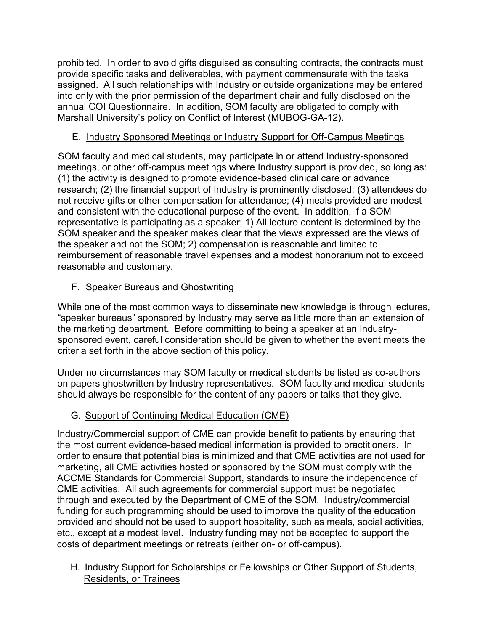prohibited. In order to avoid gifts disguised as consulting contracts, the contracts must provide specific tasks and deliverables, with payment commensurate with the tasks assigned. All such relationships with Industry or outside organizations may be entered into only with the prior permission of the department chair and fully disclosed on the annual COI Questionnaire. In addition, SOM faculty are obligated to comply with Marshall University's policy on Conflict of Interest (MUBOG-GA-12).

## E. Industry Sponsored Meetings or Industry Support for Off-Campus Meetings

SOM faculty and medical students, may participate in or attend Industry-sponsored meetings, or other off-campus meetings where Industry support is provided, so long as: (1) the activity is designed to promote evidence-based clinical care or advance research; (2) the financial support of Industry is prominently disclosed; (3) attendees do not receive gifts or other compensation for attendance; (4) meals provided are modest and consistent with the educational purpose of the event. In addition, if a SOM representative is participating as a speaker; 1) All lecture content is determined by the SOM speaker and the speaker makes clear that the views expressed are the views of the speaker and not the SOM; 2) compensation is reasonable and limited to reimbursement of reasonable travel expenses and a modest honorarium not to exceed reasonable and customary.

## F. Speaker Bureaus and Ghostwriting

While one of the most common ways to disseminate new knowledge is through lectures, "speaker bureaus" sponsored by Industry may serve as little more than an extension of the marketing department. Before committing to being a speaker at an Industrysponsored event, careful consideration should be given to whether the event meets the criteria set forth in the above section of this policy.

Under no circumstances may SOM faculty or medical students be listed as co-authors on papers ghostwritten by Industry representatives. SOM faculty and medical students should always be responsible for the content of any papers or talks that they give.

# G. Support of Continuing Medical Education (CME)

Industry/Commercial support of CME can provide benefit to patients by ensuring that the most current evidence-based medical information is provided to practitioners. In order to ensure that potential bias is minimized and that CME activities are not used for marketing, all CME activities hosted or sponsored by the SOM must comply with the ACCME Standards for Commercial Support, standards to insure the independence of CME activities. All such agreements for commercial support must be negotiated through and executed by the Department of CME of the SOM. Industry/commercial funding for such programming should be used to improve the quality of the education provided and should not be used to support hospitality, such as meals, social activities, etc., except at a modest level. Industry funding may not be accepted to support the costs of department meetings or retreats (either on- or off-campus).

H. Industry Support for Scholarships or Fellowships or Other Support of Students, Residents, or Trainees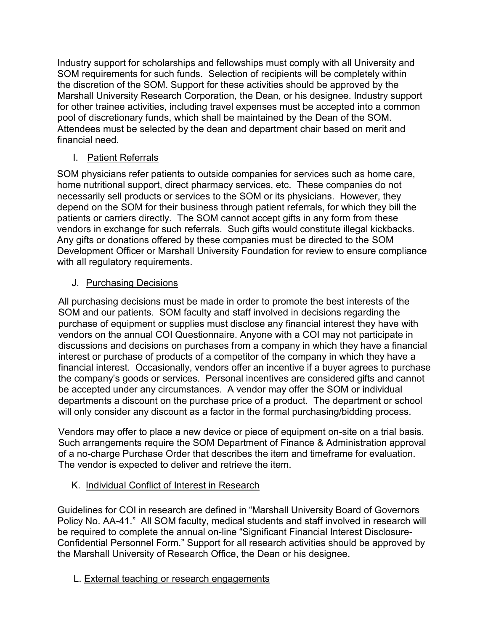Industry support for scholarships and fellowships must comply with all University and SOM requirements for such funds. Selection of recipients will be completely within the discretion of the SOM. Support for these activities should be approved by the Marshall University Research Corporation, the Dean, or his designee. Industry support for other trainee activities, including travel expenses must be accepted into a common pool of discretionary funds, which shall be maintained by the Dean of the SOM. Attendees must be selected by the dean and department chair based on merit and financial need.

### I. Patient Referrals

SOM physicians refer patients to outside companies for services such as home care, home nutritional support, direct pharmacy services, etc. These companies do not necessarily sell products or services to the SOM or its physicians. However, they depend on the SOM for their business through patient referrals, for which they bill the patients or carriers directly. The SOM cannot accept gifts in any form from these vendors in exchange for such referrals. Such gifts would constitute illegal kickbacks. Any gifts or donations offered by these companies must be directed to the SOM Development Officer or Marshall University Foundation for review to ensure compliance with all regulatory requirements.

### J. Purchasing Decisions

All purchasing decisions must be made in order to promote the best interests of the SOM and our patients. SOM faculty and staff involved in decisions regarding the purchase of equipment or supplies must disclose any financial interest they have with vendors on the annual COI Questionnaire. Anyone with a COI may not participate in discussions and decisions on purchases from a company in which they have a financial interest or purchase of products of a competitor of the company in which they have a financial interest. Occasionally, vendors offer an incentive if a buyer agrees to purchase the company's goods or services. Personal incentives are considered gifts and cannot be accepted under any circumstances. A vendor may offer the SOM or individual departments a discount on the purchase price of a product. The department or school will only consider any discount as a factor in the formal purchasing/bidding process.

Vendors may offer to place a new device or piece of equipment on-site on a trial basis. Such arrangements require the SOM Department of Finance & Administration approval of a no-charge Purchase Order that describes the item and timeframe for evaluation. The vendor is expected to deliver and retrieve the item.

## K. Individual Conflict of Interest in Research

Guidelines for COI in research are defined in "Marshall University Board of Governors Policy No. AA-41." All SOM faculty, medical students and staff involved in research will be required to complete the annual on-line "Significant Financial Interest Disclosure-Confidential Personnel Form." Support for all research activities should be approved by the Marshall University of Research Office, the Dean or his designee.

L. External teaching or research engagements